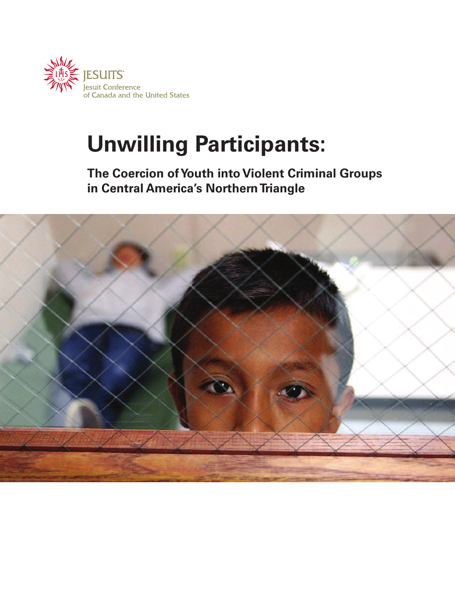

## **Unwilling Participants:**

**The Coercion ofYouth into Violent Criminal Groups in Central America's NorthernTriangle**

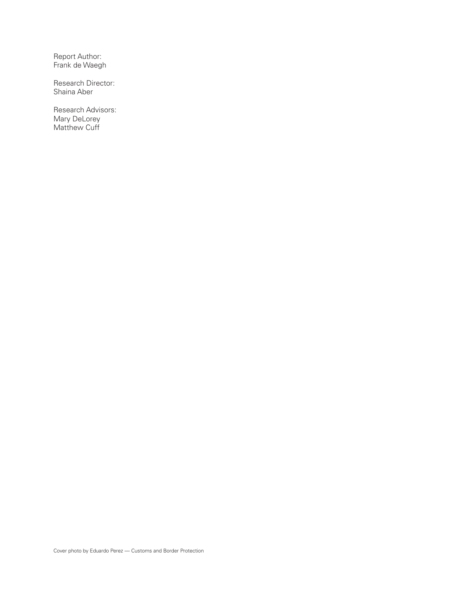Report Author: Frank de Waegh

Research Director: Shaina Aber

Research Advisors: Mary DeLorey Matthew Cuff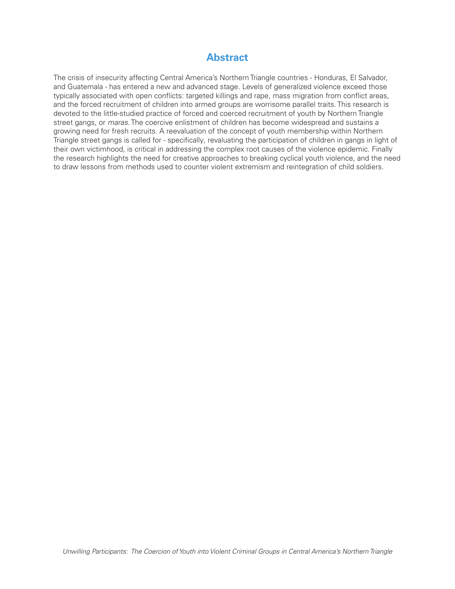#### **Abstract**

The crisis of insecurity affecting Central America's Northern Triangle countries - Honduras, El Salvador, and Guatemala - has entered a new and advanced stage. Levels of generalized violence exceed those typically associated with open conflicts: targeted killings and rape, mass migration from conflict areas, and the forced recruitment of children into armed groups are worrisome parallel traits. This research is devoted to the little-studied practice of forced and coerced recruitment of youth by Northern Triangle street gangs, or *maras*. The coercive enlistment of children has become widespread and sustains a growing need for fresh recruits. A reevaluation of the concept of youth membership within Northern Triangle street gangs is called for - specifically, revaluating the participation of children in gangs in light of their own victimhood, is critical in addressing the complex root causes of the violence epidemic. Finally the research highlights the need for creative approaches to breaking cyclical youth violence, and the need to draw lessons from methods used to counter violent extremism and reintegration of child soldiers.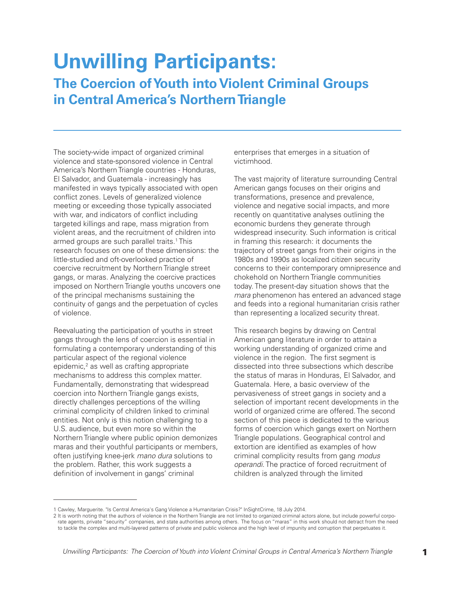# **Unwilling Participants:**

### **The Coercion of Youth into Violent Criminal Groups in Central America's Northern Triangle**

The society-wide impact of organized criminal violence and state-sponsored violence in Central America's Northern Triangle countries - Honduras, El Salvador, and Guatemala - increasingly has manifested in ways typically associated with open conflict zones. Levels of generalized violence meeting or exceeding those typically associated with war, and indicators of conflict including targeted killings and rape, mass migration from violent areas, and the recruitment of children into armed groups are such parallel traits. <sup>1</sup> This research focuses on one of these dimensions: the little-studied and oft-overlooked practice of coercive recruitment by Northern Triangle street gangs, or maras. Analyzing the coercive practices imposed on Northern Triangle youths uncovers one of the principal mechanisms sustaining the continuity of gangs and the perpetuation of cycles of violence.

Reevaluating the participation of youths in street gangs through the lens of coercion is essential in formulating a contemporary understanding of this particular aspect of the regional violence epidemic, <sup>2</sup> as well as crafting appropriate mechanisms to address this complex matter. Fundamentally, demonstrating that widespread coercion into Northern Triangle gangs exists, directly challenges perceptions of the willing criminal complicity of children linked to criminal entities. Not only is this notion challenging to a U.S. audience, but even more so within the Northern Triangle where public opinion demonizes maras and their youthful participants or members, often justifying knee-jerk *mano dura* solutions to the problem. Rather, this work suggests a definition of involvement in gangs' criminal

enterprises that emerges in a situation of victimhood.

The vast majority of literature surrounding Central American gangs focuses on their origins and transformations, presence and prevalence, violence and negative social impacts, and more recently on quantitative analyses outlining the economic burdens they generate through widespread insecurity. Such information is critical in framing this research: it documents the trajectory of street gangs from their origins in the 1980s and 1990s as localized citizen security concerns to their contemporary omnipresence and chokehold on Northern Triangle communities today. The present-day situation shows that the *mara* phenomenon has entered an advanced stage and feeds into a regional humanitarian crisis rather than representing a localized security threat.

This research begins by drawing on Central American gang literature in order to attain a working understanding of organized crime and violence in the region. The first segment is dissected into three subsections which describe the status of maras in Honduras, El Salvador, and Guatemala. Here, a basic overview of the pervasiveness of street gangs in society and a selection of important recent developments in the world of organized crime are offered. The second section of this piece is dedicated to the various forms of coercion which gangs exert on Northern Triangle populations. Geographical control and extortion are identified as examples of how criminal complicity results from gang *modus operandi*. The practice of forced recruitment of children is analyzed through the limited

<sup>1</sup> Cawley, Marguerite. "Is Central America's Gang Violence a Humanitarian Crisis?" InSightCrime, 18 July 2014.

<sup>2</sup> It is worth noting that the authors of violence in the Northern Triangle are not limited to organized criminal actors alone, but include powerful corporate agents, private "security" companies, and state authorities among others. The focus on "maras" in this work should not detract from the need to tackle the complex and multi-layered patterns of private and public violence and the high level of impunity and corruption that perpetuates it.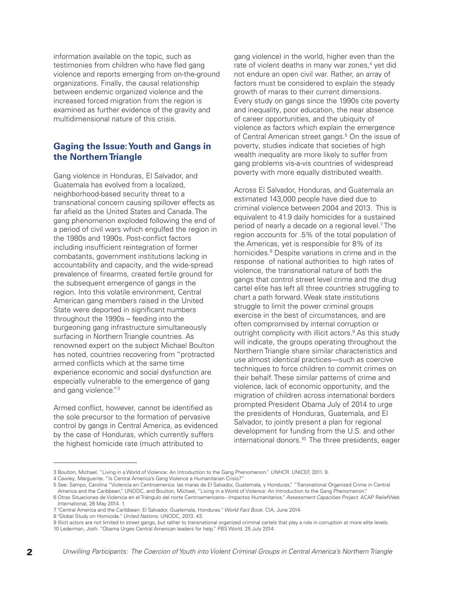information available on the topic, such as testimonies from children who have fled gang violence and reports emerging from on-the-ground organizations. Finally, the causal relationship between endemic organized violence and the increased forced migration from the region is examined as further evidence of the gravity and multidimensional nature of this crisis.

#### **Gaging the Issue:Youth and Gangs in the NorthernTriangle**

Gang violence in Honduras, El Salvador, and Guatemala has evolved from a localized, neighborhood-based security threat to a transnational concern causing spillover effects as far afield as the United States and Canada. The gang phenomenon exploded following the end of a period of civil wars which engulfed the region in the 1980s and 1990s. Post-conflict factors including insufficient reintegration of former combatants, government institutions lacking in accountability and capacity, and the wide-spread prevalence of firearms, created fertile ground for the subsequent emergence of gangs in the region. Into this volatile environment, Central American gang members raised in the United State were deported in significant numbers throughout the 1990s – feeding into the burgeoning gang infrastructure simultaneously surfacing in Northern Triangle countries. As renowned expert on the subject Michael Boulton has noted, countries recovering from "protracted armed conflicts which at the same time experience economic and social dysfunction are especially vulnerable to the emergence of gang and gang violence."3

Armed conflict, however, cannot be identified as the sole precursor to the formation of pervasive control by gangs in Central America, as evidenced by the case of Honduras, which currently suffers the highest homicide rate (much attributed to

gang violence) in the world, higher even than the rate of violent deaths in many war zones, <sup>4</sup> yet did not endure an open civil war. Rather, an array of factors must be considered to explain the steady growth of maras to their current dimensions. Every study on gangs since the 1990s cite poverty and inequality, poor education, the near absence of career opportunities, and the ubiquity of violence as factors which explain the emergence of Central American street gangs. <sup>5</sup> On the issue of poverty, studies indicate that societies of high wealth inequality are more likely to suffer from gang problems vis-a-vis countries of widespread poverty with more equally distributed wealth.

Across El Salvador, Honduras, and Guatemala an estimated 143,000 people have died due to criminal violence between 2004 and 2013. This is equivalent to 41.9 daily homicides for a sustained period of nearly a decade on a regional level. <sup>7</sup> The region accounts for .5% of the total population of the Americas, yet is responsible for 8% of its homicides. <sup>8</sup> Despite variations in crime and in the response of national authorities to high rates of violence, the transnational nature of both the gangs that control street level crime and the drug cartel elite has left all three countries struggling to chart a path forward. Weak state institutions struggle to limit the power criminal groups exercise in the best of circumstances, and are often compromised by internal corruption or outright complicity with illicit actors. <sup>9</sup> As this study will indicate, the groups operating throughout the Northern Triangle share similar characteristics and use almost identical practices—such as coercive techniques to force children to commit crimes on their behalf. These similar patterns of crime and violence, lack of economic opportunity, and the migration of children across international borders prompted President Obama July of 2014 to urge the presidents of Honduras, Guatemala, and El Salvador, to jointly present a plan for regional development for funding from the U.S. and other international donors. <sup>10</sup> The three presidents, eager

<sup>3</sup> Boulton, Michael. "Living in a World of Violence: An Introduction to the Gang Phenomenon." *UNHCR*. UNICEF, 2011. 9.

<sup>4</sup> Cawley, Marguerite. "Is Central America's Gang Violence a Humanitarian Crisis?"

<sup>5</sup> See: Sampo, Carolina "Violencia en Centroamerica: las maras de El Salvador, Guatemala, y Honduras," "Transnational Organized Crime in Central America and the Caribbean," UNODC, and Boulton, Michael, "Living in a World of Violence: An Introduction to the Gang Phenomenon."

<sup>6</sup> Otras Situaciones de Violencia en el Triángulo del norte Centroamericano- -Impactos Humanitarios." *Assessment Capacities Project*. ACAP ReliefWeb International, 28 May 2014. 1.

<sup>7</sup> "Central America and the Caribbean: El Salvador, Guatemala, Honduras." *World Fact Book*. CIA, June 2014.

<sup>8</sup> "Global Study on Homicide." *United Nations*. UNODC, 2013. 43.

<sup>9</sup> Illicit actors are not limited to street gangs, but rather to transnational organized criminal cartels that play a role in corruption at more elite levels. 10 Lederman, Josh. "Obama Urges Central American leaders for help." PBS World. 25 July 2014.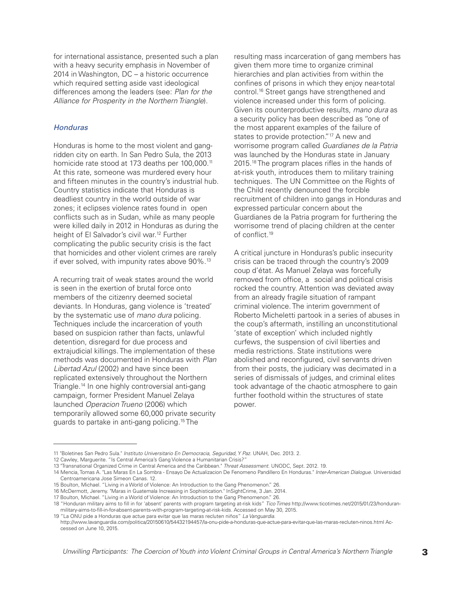for international assistance, presented such a plan with a heavy security emphasis in November of 2014 in Washington, DC – a historic occurrence which required setting aside vast ideological differences among the leaders (see: *Plan for the Alliance for Prosperity in the Northern Triangle*).

#### *Honduras*

Honduras is home to the most violent and gangridden city on earth. In San Pedro Sula, the 2013 homicide rate stood at 173 deaths per 100,000.<sup>11</sup> At this rate, someone was murdered every hour and fifteen minutes in the country's industrial hub. Country statistics indicate that Honduras is deadliest country in the world outside of war zones; it eclipses violence rates found in open conflicts such as in Sudan, while as many people were killed daily in 2012 in Honduras as during the height of El Salvador's civil war. <sup>12</sup> Further complicating the public security crisis is the fact that homicides and other violent crimes are rarely if ever solved, with impunity rates above 90%.<sup>13</sup>

A recurring trait of weak states around the world is seen in the exertion of brutal force onto members of the citizenry deemed societal deviants. In Honduras, gang violence is 'treated' by the systematic use of *mano dura* policing. Techniques include the incarceration of youth based on suspicion rather than facts, unlawful detention, disregard for due process and extrajudicial killings. The implementation of these methods was documented in Honduras with *Plan Libertad Azul* (2002) and have since been replicated extensively throughout the Northern Triangle. <sup>14</sup> In one highly controversial anti-gang campaign, former President Manuel Zelaya launched *Operacion Trueno* (2006) which temporarily allowed some 60,000 private security guards to partake in anti-gang policing. <sup>15</sup> The

resulting mass incarceration of gang members has given them more time to organize criminal hierarchies and plan activities from within the confines of prisons in which they enjoy near-total control. <sup>16</sup> Street gangs have strengthened and violence increased under this form of policing. Given its counterproductive results, *mano dura* as a security policy has been described as "one of the most apparent examples of the failure of states to provide protection."<sup>17</sup> A new and worrisome program called *Guardianes de la Patria* was launched by the Honduras state in January 2015. <sup>18</sup> The program places rifles in the hands of at-risk youth, introduces them to military training techniques. The UN Committee on the Rights of the Child recently denounced the forcible recruitment of children into gangs in Honduras and expressed particular concern about the Guardianes de la Patria program for furthering the worrisome trend of placing children at the center of conflict. 19

A critical juncture in Honduras's public insecurity crisis can be traced through the country's 2009 coup d'état. As Manuel Zelaya was forcefully removed from office, a social and political crisis rocked the country. Attention was deviated away from an already fragile situation of rampant criminal violence. The interim government of Roberto Micheletti partook in a series of abuses in the coup's aftermath, instilling an unconstitutional 'state of exception' which included nightly curfews, the suspension of civil liberties and media restrictions. State institutions were abolished and reconfigured, civil servants driven from their posts, the judiciary was decimated in a series of dismissals of judges, and criminal elites took advantage of the chaotic atmosphere to gain further foothold within the structures of state power.

<sup>11</sup> "Boletines San Pedro Sula." *Instituto Universitario En Democracia, Seguridad, Y Paz*. UNAH, Dec. 2013. 2.

<sup>12</sup> Cawley, Marguerite. "Is Central America's Gang Violence a Humanitarian Crisis?"

<sup>13</sup> "Transnational Organized Crime in Central America and the Caribbean." *Threat Assessment*. UNODC, Sept. 2012. 19.

<sup>14</sup> Mencia, Tomas A. "Las Maras En La Sombra - Ensayo De Actualizacion De Fenomeno Pandillero En Honduras." *Inter-American Dialogue*. Universidad Centroamericana Jose Simeon Canas. 12.

<sup>15</sup> Boulton, Michael. "Living in a World of Violence: An Introduction to the Gang Phenomenon." 26.

<sup>16</sup> McDermott, Jeremy. "Maras in Guatemala Increasing in Sophistication." InSightCrime, 3 Jan. 2014.

<sup>17</sup> Boulton, Michael. "Living in a World of Violence: An Introduction to the Gang Phenomenon." 26.

<sup>18</sup> "Honduran military aims to fill in for 'absent' parents with program targeting at-risk kids" *Tico Times* http://www.ticotimes.net/2015/01/23/honduranmilitary-aims-to-fill-in-for-absent-parents-with-program-targeting-at-risk-kids. Accessed on May 30, 2015.

<sup>19</sup> "La ONU pide a Honduras que actue para evitar que las maras recluten niños" *La Vanguardia*.

http://www.lavanguardia.com/politica/20150610/54432194457/la-onu-pide-a-honduras-que-actue-para-evitar-que-las-maras-recluten-ninos.html Accessed on June 10, 2015.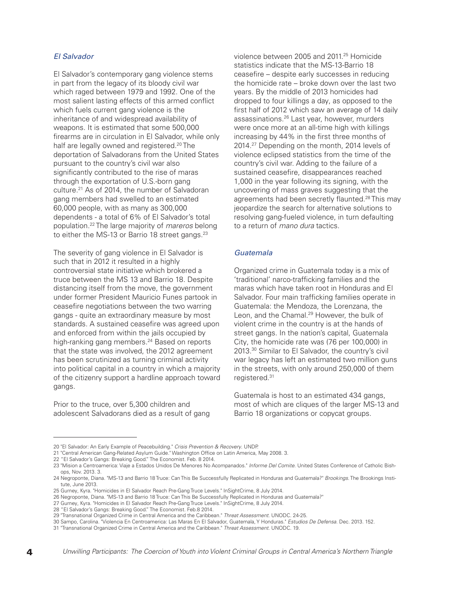#### *El Salvador*

El Salvador's contemporary gang violence stems in part from the legacy of its bloody civil war which raged between 1979 and 1992. One of the most salient lasting effects of this armed conflict which fuels current gang violence is the inheritance of and widespread availability of weapons. It is estimated that some 500,000 firearms are in circulation in El Salvador, while only half are legally owned and registered. <sup>20</sup> The deportation of Salvadorans from the United States pursuant to the country's civil war also significantly contributed to the rise of maras through the exportation of U.S.-born gang culture. <sup>21</sup> As of 2014, the number of Salvadoran gang members had swelled to an estimated 60,000 people, with as many as 300,000 dependents - a total of 6% of El Salvador's total population. <sup>22</sup> The large majority of *mareros* belong to either the MS-13 or Barrio 18 street gangs.<sup>23</sup>

The severity of gang violence in El Salvador is such that in 2012 it resulted in a highly controversial state initiative which brokered a truce between the MS 13 and Barrio 18. Despite distancing itself from the move, the government under former President Mauricio Funes partook in ceasefire negotiations between the two warring gangs - quite an extraordinary measure by most standards. A sustained ceasefire was agreed upon and enforced from within the jails occupied by high-ranking gang members. <sup>24</sup> Based on reports that the state was involved, the 2012 agreement has been scrutinized as turning criminal activity into political capital in a country in which a majority of the citizenry support a hardline approach toward gangs.

Prior to the truce, over 5,300 children and adolescent Salvadorans died as a result of gang

violence between 2005 and 2011. <sup>25</sup> Homicide statistics indicate that the MS-13-Barrio 18 ceasefire – despite early successes in reducing the homicide rate – broke down over the last two years. By the middle of 2013 homicides had dropped to four killings a day, as opposed to the first half of 2012 which saw an average of 14 daily assassinations. <sup>26</sup> Last year, however, murders were once more at an all-time high with killings increasing by 44% in the first three months of 2014. <sup>27</sup> Depending on the month, 2014 levels of violence eclipsed statistics from the time of the country's civil war. Adding to the failure of a sustained ceasefire, disappearances reached 1,000 in the year following its signing, with the uncovering of mass graves suggesting that the agreements had been secretly flaunted.<sup>28</sup> This may jeopardize the search for alternative solutions to resolving gang-fueled violence, in turn defaulting to a return of *mano dura* tactics.

#### *Guatemala*

Organized crime in Guatemala today is a mix of 'traditional' narco-trafficking families and the maras which have taken root in Honduras and El Salvador. Four main trafficking families operate in Guatemala: the Mendoza, the Lorenzana, the Leon, and the Chamal. <sup>29</sup> However, the bulk of violent crime in the country is at the hands of street gangs. In the nation's capital, Guatemala City, the homicide rate was (76 per 100,000) in 2013. <sup>30</sup> Similar to El Salvador, the country's civil war legacy has left an estimated two million guns in the streets, with only around 250,000 of them registered. 31

Guatemala is host to an estimated 434 gangs, most of which are cliques of the larger MS-13 and Barrio 18 organizations or copycat groups.

<sup>20</sup> "El Salvador: An Early Example of Peacebuilding." *Crisis Prevention & Recovery*. UNDP.

<sup>21</sup> "Central American Gang-Related Asylum Guide." Washington Office on Latin America, May 2008. 3.

<sup>22</sup> "El Salvador's Gangs: Breaking Good." The Economist. Feb. 8 2014.

<sup>23</sup> "Mision a Centroamerica: Viaje a Estados Unidos De Menores No Acompanados." *Informe Del Comite*. United States Conference of Catholic Bishops, Nov. 2013. 3.

<sup>24</sup> Negroponte, Diana. "MS-13 and Barrio 18 Truce: Can This Be Successfully Replicated in Honduras and Guatemala?" *Brookings*. The Brookings Institute, June 2013.

<sup>25</sup> Gurney, Kyra. "Homicides in El Salvador Reach Pre-Gang Truce Levels." InSightCrime, 8 July 2014.

<sup>26</sup> Negroponte, Diana. "MS-13 and Barrio 18 Truce: Can This Be Successfully Replicated in Honduras and Guatemala?"

<sup>27</sup> Gurney, Kyra. "Homicides in El Salvador Reach Pre-Gang Truce Levels." InSightCrime, 8 July 2014.

<sup>28</sup> "El Salvador's Gangs: Breaking Good." The Economist. Feb.8 2014.

<sup>29</sup> "Transnational Organized Crime in Central America and the Caribbean." *Threat Assessment*. UNODC. 24-25.

<sup>30</sup> Sampo, Carolina. "Violencia En Centroamerica: Las Maras En El Salvador, Guatemala, Y Honduras." *Estudios De Defensa*. Dec. 2013. 152.

<sup>31</sup> "Transnational Organized Crime in Central America and the Caribbean." *Threat Assessment*. UNODC. 19.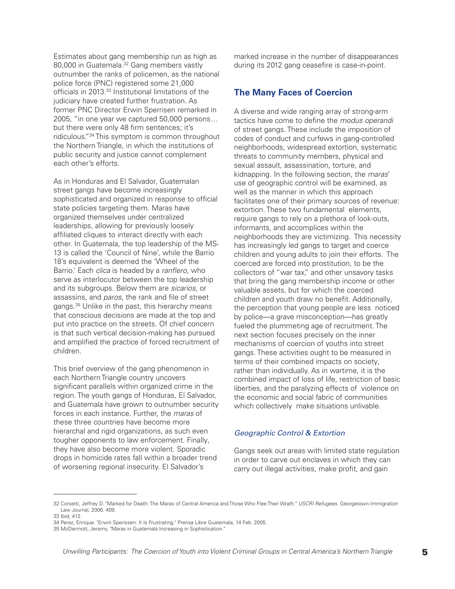Estimates about gang membership run as high as 80,000 in Guatemala. <sup>32</sup> Gang members vastly outnumber the ranks of policemen, as the national police force (PNC) registered some 21,000 officials in 2013. <sup>33</sup> Institutional limitations of the judiciary have created further frustration. As former PNC Director Erwin Sperrisen remarked in 2005, "in one year we captured 50,000 persons… but there were only 48 firm sentences; it's ridiculous."34 This symptom is common throughout the Northern Triangle, in which the institutions of public security and justice cannot complement each other's efforts.

As in Honduras and El Salvador, Guatemalan street gangs have become increasingly sophisticated and organized in response to official state policies targeting them. Maras have organized themselves under centralized leaderships, allowing for previously loosely affiliated cliques to interact directly with each other. In Guatemala, the top leadership of the MS-13 is called the 'Council of Nine', while the Barrio 18's equivalent is deemed the 'Wheel of the Barrio.' Each *clica* is headed by a *ranflero*, who serve as interlocutor between the top leadership and its subgroups. Below them are *sicarios*, or assassins, and *paros*, the rank and file of street gangs. <sup>35</sup> Unlike in the past, this hierarchy means that conscious decisions are made at the top and put into practice on the streets. Of chief concern is that such vertical decision-making has pursued and amplified the practice of forced recruitment of children.

This brief overview of the gang phenomenon in each Northern Triangle country uncovers significant parallels within organized crime in the region. The youth gangs of Honduras, El Salvador, and Guatemala have grown to outnumber security forces in each instance. Further, the *maras* of these three countries have become more hierarchal and rigid organizations, as such even tougher opponents to law enforcement. Finally, they have also become more violent. Sporadic drops in homicide rates fall within a broader trend of worsening regional insecurity. El Salvador's

marked increase in the number of disappearances during its 2012 gang ceasefire is case-in-point.

#### **The Many Faces of Coercion**

A diverse and wide ranging array of strong-arm tactics have come to define the *modus operandi* of street gangs. These include the imposition of codes of conduct and curfews in gang-controlled neighborhoods, widespread extortion, systematic threats to community members, physical and sexual assault, assassination, torture, and kidnapping. In the following section, the *maras*' use of geographic control will be examined, as well as the manner in which this approach facilitates one of their primary sources of revenue: extortion. These two fundamental elements, require gangs to rely on a plethora of look-outs, informants, and accomplices within the neighborhoods they are victimizing. This necessity has increasingly led gangs to target and coerce children and young adults to join their efforts. The coerced are forced into prostitution, to be the collectors of "war tax," and other unsavory tasks that bring the gang membership income or other valuable assets, but for which the coerced children and youth draw no benefit. Additionally, the perception that young people are less noticed by police—a grave misconception—has greatly fueled the plummeting age of recruitment. The next section focuses precisely on the inner mechanisms of coercion of youths into street gangs. These activities ought to be measured in terms of their combined impacts on society, rather than individually. As in wartime, it is the combined impact of loss of life, restriction of basic liberties, and the paralyzing effects of violence on the economic and social fabric of communities which collectively make situations unlivable.

#### *Geographic Control & Extortion*

Gangs seek out areas with limited state regulation in order to carve out enclaves in which they can carry out illegal activities, make profit, and gain

<sup>32</sup> Corsetti, Jeffrey D. "Marked for Death: The Maras of Central America and Those Who Flee Their Wrath." *USCRI Refugees*. Georgetown Immigration Law Journal, 2006. 409. 33 Ibid, 412.

<sup>34</sup> Perez, Enrique. "Erwin Sperissen: It Is Frustrating." Prensa Libre Guatemala, 14 Feb. 2005.

<sup>35</sup> McDermott, Jeremy. "Maras in Guatemala Increasing in Sophistication."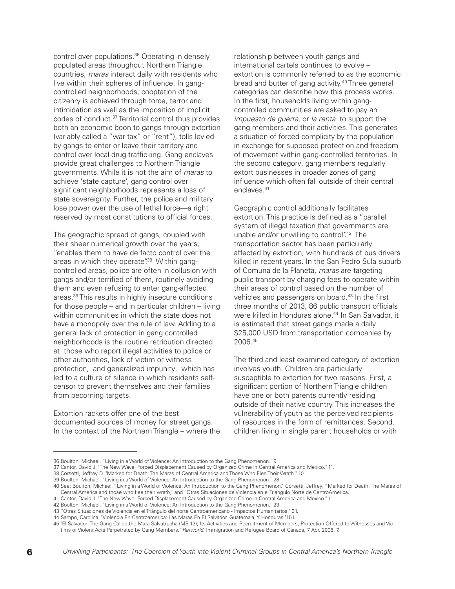control over populations. <sup>36</sup> Operating in densely populated areas throughout Northern Triangle countries, *maras* interact daily with residents who live within their spheres of influence. In gangcontrolled neighborhoods, cooptation of the citizenry is achieved through force, terror and intimidation as well as the imposition of implicit codes of conduct. <sup>37</sup> Territorial control thus provides both an economic boon to gangs through extortion (variably called a "war tax" or "rent"), tolls levied by gangs to enter or leave their territory and control over local drug trafficking. Gang enclaves provide great challenges to Northern Triangle governments. While it is not the aim of *maras* to achieve 'state capture', gang control over significant neighborhoods represents a loss of state sovereignty. Further, the police and military lose power over the use of lethal force—a right reserved by most constitutions to official forces.

The geographic spread of gangs, coupled with their sheer numerical growth over the years, "enables them to have de facto control over the areas in which they operate".<sup>38</sup> Within gangcontrolled areas, police are often in collusion with gangs and/or terrified of them, routinely avoiding them and even refusing to enter gang-affected areas. <sup>39</sup> This results in highly insecure conditions for those people – and in particular children – living within communities in which the state does not have a monopoly over the rule of law. Adding to a general lack of protection in gang controlled neighborhoods is the routine retribution directed at those who report illegal activities to police or other authorities, lack of victim or witness protection, and generalized impunity, which has led to a culture of silence in which residents selfcensor to prevent themselves and their families from becoming targets.

Extortion rackets offer one of the best documented sources of money for street gangs. In the context of the Northern Triangle – where the relationship between youth gangs and international cartels continues to evolve – extortion is commonly referred to as the economic bread and butter of gang activity. <sup>40</sup> Three general categories can describe how this process works. In the first, households living within gangcontrolled communities are asked to pay an *impuesto de guerra*, or *la renta* to support the gang members and their activities. This generates a situation of forced complicity by the population in exchange for supposed protection and freedom of movement within gang-controlled territories. In the second category, gang members regularly extort businesses in broader zones of gang influence which often fall outside of their central enclaves. 41

Geographic control additionally facilitates extortion. This practice is defined as a "parallel system of illegal taxation that governments are unable and/or unwilling to control".<sup>42</sup> The transportation sector has been particularly affected by extortion, with hundreds of bus drivers killed in recent years. In the San Pedro Sula suburb of Comuna de la Planeta, *maras* are targeting public transport by charging fees to operate within their areas of control based on the number of vehicles and passengers on board. <sup>43</sup> In the first three months of 2013, 86 public transport officials were killed in Honduras alone. <sup>44</sup> In San Salvador, it is estimated that street gangs made a daily \$25,000 USD from transportation companies by 2006. 45

The third and least examined category of extortion involves youth. Children are particularly susceptible to extortion for two reasons. First, a significant portion of Northern Triangle children have one or both parents currently residing outside of their native country. This increases the vulnerability of youth as the perceived recipients of resources in the form of remittances. Second, children living in single parent households or with

<sup>36</sup> Boulton, Michael. "Living in a World of Violence: An Introduction to the Gang Phenomenon." 9.

<sup>37</sup> Cantor, David J. "The New Wave: Forced Displacement Caused by Organized Crime in Central America and Mexico." 11.

<sup>38</sup> Corsetti, Jeffrey D. "Marked for Death: The Maras of Central America and Those Who Flee Their Wrath." 10.

<sup>39</sup> Boulton, Michael. "Living in a World of Violence: An Introduction to the Gang Phenomenon." 28.

<sup>40</sup> See: Boulton, Michael, "Living in a World of Violence: An Introduction to the Gang Phenomenon," Corsetti, Jeffrey, "Marked for Death: The Maras of Central America and those who flee their wrath," and "Otras Situaciones de Violencia en el Triangulo Norte de CentroAmerica."

<sup>41</sup> Cantor, David J. "The New Wave: Forced Displacement Caused by Organized Crime in Central America and Mexico." 11.

<sup>42</sup> Boulton, Michael. "Living in a World of Violence: An Introduction to the Gang Phenomenon." 23.

<sup>43</sup> "Otras Situaciones de Violencia en el Triángulo del norte Centroamericano - Impactos Humanitarios." 31.

<sup>44</sup> Sampo, Carolina. "Violencia En Centroamerica: Las Maras En El Salvador, Guatemala, Y Honduras."151.

<sup>45</sup> "El Salvador: The Gang Called the Mara Salvatrucha (MS-13); Its Activities and Recruitment of Members; Protection Offered to Witnesses and Victims of Violent Acts Perpetrated by Gang Members." *Refworld*. Immigration and Refugee Board of Canada, 7 Apr. 2006. 7.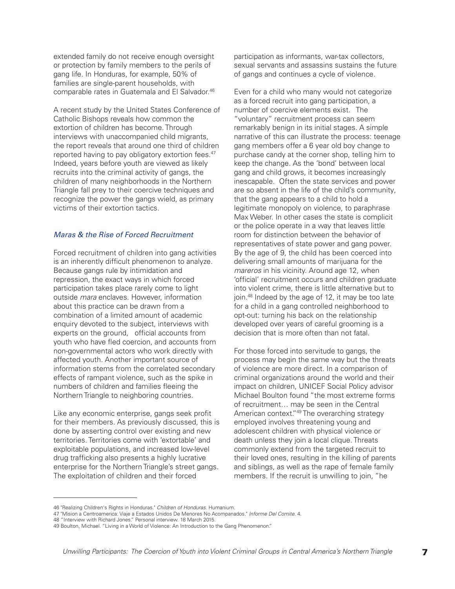extended family do not receive enough oversight or protection by family members to the perils of gang life. In Honduras, for example, 50% of families are single-parent households, with comparable rates in Guatemala and El Salvador. 46

A recent study by the United States Conference of Catholic Bishops reveals how common the extortion of children has become. Through interviews with unaccompanied child migrants, the report reveals that around one third of children reported having to pay obligatory extortion fees. 47 Indeed, years before youth are viewed as likely recruits into the criminal activity of gangs, the children of many neighborhoods in the Northern Triangle fall prey to their coercive techniques and recognize the power the gangs wield, as primary victims of their extortion tactics.

#### *Maras & the Rise of Forced Recruitment*

Forced recruitment of children into gang activities is an inherently difficult phenomenon to analyze. Because gangs rule by intimidation and repression, the exact ways in which forced participation takes place rarely come to light outside *mara* enclaves. However, information about this practice can be drawn from a combination of a limited amount of academic enquiry devoted to the subject, interviews with experts on the ground, official accounts from youth who have fled coercion, and accounts from non-governmental actors who work directly with affected youth. Another important source of information stems from the correlated secondary effects of rampant violence, such as the spike in numbers of children and families fleeing the Northern Triangle to neighboring countries.

Like any economic enterprise, gangs seek profit for their members. As previously discussed, this is done by asserting control over existing and new territories. Territories come with 'extortable' and exploitable populations, and increased low-level drug trafficking also presents a highly lucrative enterprise for the Northern Triangle's street gangs. The exploitation of children and their forced

participation as informants, war-tax collectors, sexual servants and assassins sustains the future of gangs and continues a cycle of violence.

Even for a child who many would not categorize as a forced recruit into gang participation, a number of coercive elements exist. The "voluntary" recruitment process can seem remarkably benign in its initial stages. A simple narrative of this can illustrate the process: teenage gang members offer a 6 year old boy change to purchase candy at the corner shop, telling him to keep the change. As the 'bond' between local gang and child grows, it becomes increasingly inescapable. Often the state services and power are so absent in the life of the child's community, that the gang appears to a child to hold a legitimate monopoly on violence, to paraphrase Max Weber. In other cases the state is complicit or the police operate in a way that leaves little room for distinction between the behavior of representatives of state power and gang power. By the age of 9, the child has been coerced into delivering small amounts of marijuana for the *mareros* in his vicinity. Around age 12, when 'official' recruitment occurs and children graduate into violent crime, there is little alternative but to join. <sup>48</sup> Indeed by the age of 12, it may be too late for a child in a gang controlled neighborhood to opt-out: turning his back on the relationship developed over years of careful grooming is a decision that is more often than not fatal.

For those forced into servitude to gangs, the process may begin the same way but the threats of violence are more direct. In a comparison of criminal organizations around the world and their impact on children, UNICEF Social Policy advisor Michael Boulton found "the most extreme forms of recruitment… may be seen in the Central American context."49 The overarching strategy employed involves threatening young and adolescent children with physical violence or death unless they join a local clique. Threats commonly extend from the targeted recruit to their loved ones, resulting in the killing of parents and siblings, as well as the rape of female family members. If the recruit is unwilling to join, "he

<sup>46</sup> "Realizing Children's Rights in Honduras." *Children of Honduras*. Humanium.

<sup>47</sup> "Mision a Centroamerica: Viaje a Estados Unidos De Menores No Acompanados." *Informe Del Comite*. 4.

<sup>48</sup> "Interview with Richard Jones." Personal interview. 18 March 2015.

<sup>49</sup> Boulton, Michael. "Living in a World of Violence: An Introduction to the Gang Phenomenon."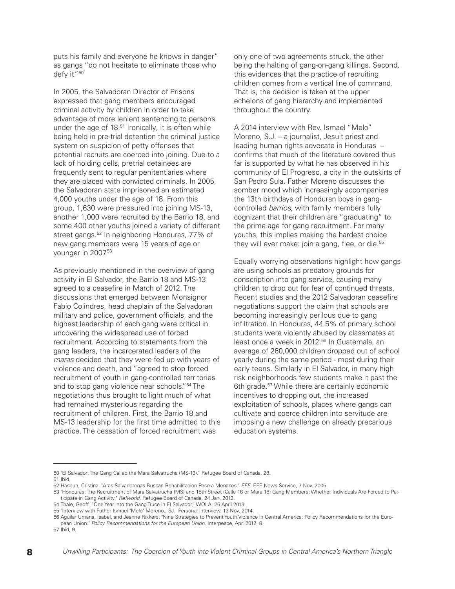puts his family and everyone he knows in danger" as gangs "do not hesitate to eliminate those who defy it."50

In 2005, the Salvadoran Director of Prisons expressed that gang members encouraged criminal activity by children in order to take advantage of more lenient sentencing to persons under the age of 18. <sup>51</sup> Ironically, it is often while being held in pre-trial detention the criminal justice system on suspicion of petty offenses that potential recruits are coerced into joining. Due to a lack of holding cells, pretrial detainees are frequently sent to regular penitentiaries where they are placed with convicted criminals. In 2005, the Salvadoran state imprisoned an estimated 4,000 youths under the age of 18. From this group, 1,630 were pressured into joining MS-13, another 1,000 were recruited by the Barrio 18, and some 400 other youths joined a variety of different street gangs. <sup>52</sup> In neighboring Honduras, 77% of new gang members were 15 years of age or younger in 2007. 53

As previously mentioned in the overview of gang activity in El Salvador, the Barrio 18 and MS-13 agreed to a ceasefire in March of 2012. The discussions that emerged between Monsignor Fabio Colindres, head chaplain of the Salvadoran military and police, government officials, and the highest leadership of each gang were critical in uncovering the widespread use of forced recruitment. According to statements from the gang leaders, the incarcerated leaders of the *maras* decided that they were fed up with years of violence and death, and "agreed to stop forced recruitment of youth in gang-controlled territories and to stop gang violence near schools."54 The negotiations thus brought to light much of what had remained mysterious regarding the recruitment of children. First, the Barrio 18 and MS-13 leadership for the first time admitted to this practice. The cessation of forced recruitment was

only one of two agreements struck, the other being the halting of gang-on-gang killings. Second, this evidences that the practice of recruiting children comes from a vertical line of command. That is, the decision is taken at the upper echelons of gang hierarchy and implemented throughout the country.

A 2014 interview with Rev. Ismael "Melo" Moreno, S.J. – a journalist, Jesuit priest and leading human rights advocate in Honduras – confirms that much of the literature covered thus far is supported by what he has observed in his community of El Progreso, a city in the outskirts of San Pedro Sula. Father Moreno discusses the somber mood which increasingly accompanies the 13th birthdays of Honduran boys in gangcontrolled *barrios*, with family members fully cognizant that their children are "graduating" to the prime age for gang recruitment. For many youths, this implies making the hardest choice they will ever make: join a gang, flee, or die. 55

Equally worrying observations highlight how gangs are using schools as predatory grounds for conscription into gang service, causing many children to drop out for fear of continued threats. Recent studies and the 2012 Salvadoran ceasefire negotiations support the claim that schools are becoming increasingly perilous due to gang infiltration. In Honduras, 44.5% of primary school students were violently abused by classmates at least once a week in 2012. <sup>56</sup> In Guatemala, an average of 260,000 children dropped out of school yearly during the same period - most during their early teens. Similarly in El Salvador, in many high risk neighborhoods few students make it past the 6th grade. <sup>57</sup> While there are certainly economic incentives to dropping out, the increased exploitation of schools, places where gangs can cultivate and coerce children into servitude are imposing a new challenge on already precarious education systems.

<sup>50</sup> "El Salvador: The Gang Called the Mara Salvatrucha (MS-13)." Refugee Board of Canada. 28.

<sup>51</sup> Ibid.

<sup>52</sup> Hasbun, Cristina. "Aras Salvadorenas Buscan Rehabilitacion Pese a Menaces." *EFE*. EFE News Service, 7 Nov. 2005.

<sup>53</sup> "Honduras: The Recruitment of Mara Salvatrucha (MS) and 18th Street (Calle 18 or Mara 18) Gang Members; Whether Individuals Are Forced to Participate in Gang Activity." *Refworld*. Refugee Board of Canada, 24 Jan. 2012.

<sup>54</sup> Thale, Geoff. "One Year into the Gang Truce in El Salvador." WOLA. 26 April 2013.

<sup>55</sup> "Interview with Father Ismael "Melo" Moreno., SJ. Personal interview. 12 Nov. 2014.

<sup>56</sup> Aguilar Umana, Isabel, and Jeanne Rikkers. "Nine Strategies to Prevent Youth Violence in Central America: Policy Recommendations for the European Union." *Policy Recommendations for the European Union*. Interpeace, Apr. 2012. 8.

<sup>57</sup> Ibid, 9.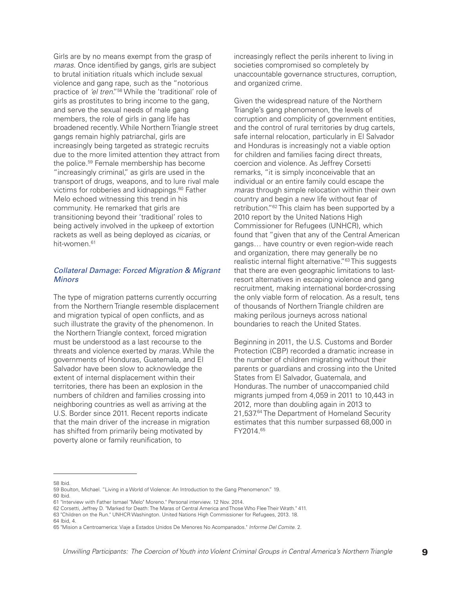Girls are by no means exempt from the grasp of *maras*. Once identified by gangs, girls are subject to brutal initiation rituals which include sexual violence and gang rape, such as the "notorious practice of *'el tren*."58 While the 'traditional' role of girls as prostitutes to bring income to the gang, and serve the sexual needs of male gang members, the role of girls in gang life has broadened recently. While Northern Triangle street gangs remain highly patriarchal, girls are increasingly being targeted as strategic recruits due to the more limited attention they attract from the police. <sup>59</sup> Female membership has become "increasingly criminal," as girls are used in the transport of drugs, weapons, and to lure rival male victims for robberies and kidnappings. <sup>60</sup> Father Melo echoed witnessing this trend in his community. He remarked that girls are transitioning beyond their 'traditional' roles to being actively involved in the upkeep of extortion rackets as well as being deployed as *cicarias*, or hit-women. 61

#### *Collateral Damage: Forced Migration & Migrant Minors*

The type of migration patterns currently occurring from the Northern Triangle resemble displacement and migration typical of open conflicts, and as such illustrate the gravity of the phenomenon. In the Northern Triangle context, forced migration must be understood as a last recourse to the threats and violence exerted by *maras*. While the governments of Honduras, Guatemala, and El Salvador have been slow to acknowledge the extent of internal displacement within their territories, there has been an explosion in the numbers of children and families crossing into neighboring countries as well as arriving at the U.S. Border since 2011. Recent reports indicate that the main driver of the increase in migration has shifted from primarily being motivated by poverty alone or family reunification, to

increasingly reflect the perils inherent to living in societies compromised so completely by unaccountable governance structures, corruption, and organized crime.

Given the widespread nature of the Northern Triangle's gang phenomenon, the levels of corruption and complicity of government entities, and the control of rural territories by drug cartels, safe internal relocation, particularly in El Salvador and Honduras is increasingly not a viable option for children and families facing direct threats, coercion and violence. As Jeffrey Corsetti remarks, "it is simply inconceivable that an individual or an entire family could escape the *maras* through simple relocation within their own country and begin a new life without fear of retribution."62 This claim has been supported by a 2010 report by the United Nations High Commissioner for Refugees (UNHCR), which found that "given that any of the Central American gangs… have country or even region-wide reach and organization, there may generally be no realistic internal flight alternative."<sup>63</sup> This suggests that there are even geographic limitations to lastresort alternatives in escaping violence and gang recruitment, making international border-crossing the only viable form of relocation. As a result, tens of thousands of Northern Triangle children are making perilous journeys across national boundaries to reach the United States.

Beginning in 2011, the U.S. Customs and Border Protection (CBP) recorded a dramatic increase in the number of children migrating without their parents or guardians and crossing into the United States from El Salvador, Guatemala, and Honduras. The number of unaccompanied child migrants jumped from 4,059 in 2011 to 10,443 in 2012, more than doubling again in 2013 to 21,537. <sup>64</sup> The Department of Homeland Security estimates that this number surpassed 68,000 in FY2014. 65

58 Ibid.

60 Ibid.

<sup>59</sup> Boulton, Michael. "Living in a World of Violence: An Introduction to the Gang Phenomenon." 19.

<sup>61</sup> "Interview with Father Ismael "Melo" Moreno." Personal interview. 12 Nov. 2014.

<sup>62</sup> Corsetti, Jeffrey D. "Marked for Death: The Maras of Central America and Those Who Flee Their Wrath." 411.

<sup>63</sup> "Children on the Run." UNHCR Washington. United Nations High Commissioner for Refugees, 2013. 18. 64 Ibid, 4.

<sup>65</sup> "Mision a Centroamerica: Viaje a Estados Unidos De Menores No Acompanados." *Informe Del Comite*. 2.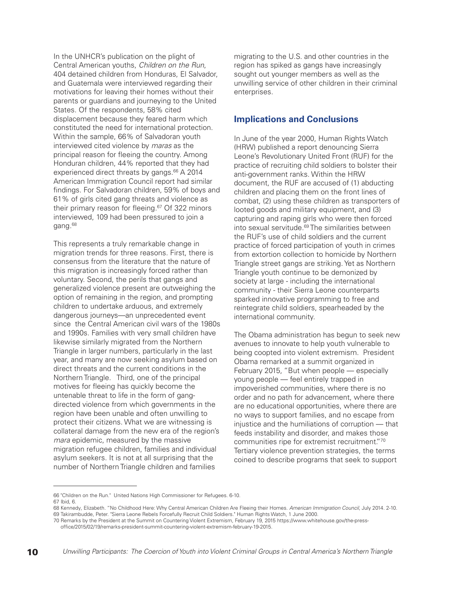In the UNHCR's publication on the plight of Central American youths, *Children on the Run*, 404 detained children from Honduras, El Salvador, and Guatemala were interviewed regarding their motivations for leaving their homes without their parents or guardians and journeying to the United States. Of the respondents, 58% cited displacement because they feared harm which constituted the need for international protection. Within the sample, 66% of Salvadoran youth interviewed cited violence by *maras* as the principal reason for fleeing the country. Among Honduran children, 44% reported that they had experienced direct threats by gangs. <sup>66</sup> A 2014 American Immigration Council report had similar findings. For Salvadoran children, 59% of boys and 61% of girls cited gang threats and violence as their primary reason for fleeing. <sup>67</sup> Of 322 minors interviewed, 109 had been pressured to join a gang. 68

This represents a truly remarkable change in migration trends for three reasons. First, there is consensus from the literature that the nature of this migration is increasingly forced rather than voluntary. Second, the perils that gangs and generalized violence present are outweighing the option of remaining in the region, and prompting children to undertake arduous, and extremely dangerous journeys—an unprecedented event since the Central American civil wars of the 1980s and 1990s. Families with very small children have likewise similarly migrated from the Northern Triangle in larger numbers, particularly in the last year, and many are now seeking asylum based on direct threats and the current conditions in the Northern Triangle. Third, one of the principal motives for fleeing has quickly become the untenable threat to life in the form of gangdirected violence from which governments in the region have been unable and often unwilling to protect their citizens. What we are witnessing is collateral damage from the new era of the region's *mara* epidemic, measured by the massive migration refugee children, families and individual asylum seekers. It is not at all surprising that the number of Northern Triangle children and families

migrating to the U.S. and other countries in the region has spiked as gangs have increasingly sought out younger members as well as the unwilling service of other children in their criminal enterprises.

#### **Implications and Conclusions**

In June of the year 2000, Human Rights Watch (HRW) published a report denouncing Sierra Leone's Revolutionary United Front (RUF) for the practice of recruiting child soldiers to bolster their anti-government ranks. Within the HRW document, the RUF are accused of (1) abducting children and placing them on the front lines of combat, (2) using these children as transporters of looted goods and military equipment, and (3) capturing and raping girls who were then forced into sexual servitude. <sup>69</sup> The similarities between the RUF's use of child soldiers and the current practice of forced participation of youth in crimes from extortion collection to homicide by Northern Triangle street gangs are striking. Yet as Northern Triangle youth continue to be demonized by society at large - including the international community - their Sierra Leone counterparts sparked innovative programming to free and reintegrate child soldiers, spearheaded by the international community.

The Obama administration has begun to seek new avenues to innovate to help youth vulnerable to being coopted into violent extremism. President Obama remarked at a summit organized in February 2015, "But when people — especially young people — feel entirely trapped in impoverished communities, where there is no order and no path for advancement, where there are no educational opportunities, where there are no ways to support families, and no escape from injustice and the humiliations of corruption — that feeds instability and disorder, and makes those communities ripe for extremist recruitment."70 Tertiary violence prevention strategies, the terms coined to describe programs that seek to support

<sup>66</sup> "Children on the Run." United Nations High Commissioner for Refugees. 6-10.

<sup>67</sup> Ibid, 6.

<sup>68</sup> Kennedy, Elizabeth. "No Childhood Here: Why Central American Children Are Fleeing their Homes. *American Immigration Council*, July 2014. 2-10. 69 Takirambudde, Peter. "Sierra Leone Rebels Forcefully Recruit Child Soldiers." Human Rights Watch, 1 June 2000.

<sup>70</sup> Remarks by the President at the Summit on Countering Violent Extremism, February 19, 2015 https://www.whitehouse.gov/the-pressoffice/2015/02/19/remarks-president-summit-countering-violent-extremism-february-19-2015.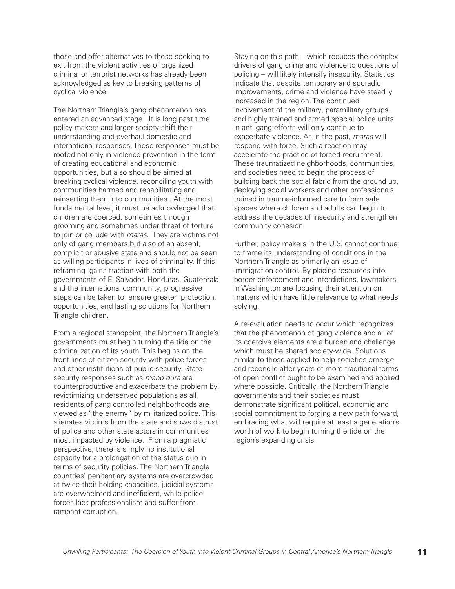those and offer alternatives to those seeking to exit from the violent activities of organized criminal or terrorist networks has already been acknowledged as key to breaking patterns of cyclical violence.

The Northern Triangle's gang phenomenon has entered an advanced stage. It is long past time policy makers and larger society shift their understanding and overhaul domestic and international responses. These responses must be rooted not only in violence prevention in the form of creating educational and economic opportunities, but also should be aimed at breaking cyclical violence, reconciling youth with communities harmed and rehabilitating and reinserting them into communities . At the most fundamental level, it must be acknowledged that children are coerced, sometimes through grooming and sometimes under threat of torture to join or collude with *maras*. They are victims not only of gang members but also of an absent, complicit or abusive state and should not be seen as willing participants in lives of criminality. If this reframing gains traction with both the governments of El Salvador, Honduras, Guatemala and the international community, progressive steps can be taken to ensure greater protection, opportunities, and lasting solutions for Northern Triangle children.

From a regional standpoint, the Northern Triangle's governments must begin turning the tide on the criminalization of its youth. This begins on the front lines of citizen security with police forces and other institutions of public security. State security responses such as *mano dura* are counterproductive and exacerbate the problem by, revictimizing underserved populations as all residents of gang controlled neighborhoods are viewed as "the enemy" by militarized police. This alienates victims from the state and sows distrust of police and other state actors in communities most impacted by violence. From a pragmatic perspective, there is simply no institutional capacity for a prolongation of the status quo in terms of security policies. The Northern Triangle countries' penitentiary systems are overcrowded at twice their holding capacities, judicial systems are overwhelmed and inefficient, while police forces lack professionalism and suffer from rampant corruption.

Staying on this path – which reduces the complex drivers of gang crime and violence to questions of policing – will likely intensify insecurity. Statistics indicate that despite temporary and sporadic improvements, crime and violence have steadily increased in the region. The continued involvement of the military, paramilitary groups, and highly trained and armed special police units in anti-gang efforts will only continue to exacerbate violence. As in the past, *maras* will respond with force. Such a reaction may accelerate the practice of forced recruitment. These traumatized neighborhoods, communities, and societies need to begin the process of building back the social fabric from the ground up, deploying social workers and other professionals trained in trauma-informed care to form safe spaces where children and adults can begin to address the decades of insecurity and strengthen community cohesion.

Further, policy makers in the U.S. cannot continue to frame its understanding of conditions in the Northern Triangle as primarily an issue of immigration control. By placing resources into border enforcement and interdictions, lawmakers in Washington are focusing their attention on matters which have little relevance to what needs solving.

A re-evaluation needs to occur which recognizes that the phenomenon of gang violence and all of its coercive elements are a burden and challenge which must be shared society-wide. Solutions similar to those applied to help societies emerge and reconcile after years of more traditional forms of open conflict ought to be examined and applied where possible. Critically, the Northern Triangle governments and their societies must demonstrate significant political, economic and social commitment to forging a new path forward, embracing what will require at least a generation's worth of work to begin turning the tide on the region's expanding crisis.

11